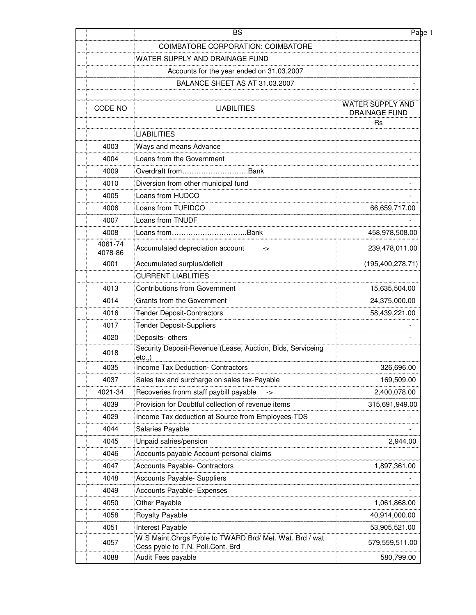|                    | <b>BS</b>                                                                                      | Page 1                                   |
|--------------------|------------------------------------------------------------------------------------------------|------------------------------------------|
|                    | <b>COIMBATORE CORPORATION: COIMBATORE</b>                                                      |                                          |
|                    | WATER SUPPLY AND DRAINAGE FUND                                                                 |                                          |
|                    | Accounts for the year ended on 31.03.2007                                                      |                                          |
|                    | BALANCE SHEET AS AT 31.03.2007                                                                 |                                          |
|                    |                                                                                                |                                          |
| CODE NO            | <b>LIABILITIES</b>                                                                             | WATER SUPPLY AND<br><b>DRAINAGE FUND</b> |
|                    | <b>LIABILITIES</b>                                                                             | <b>Rs</b>                                |
| 4003               | Ways and means Advance                                                                         |                                          |
| 4004               | Loans from the Government                                                                      |                                          |
| 4009               | Overdraft fromBank                                                                             |                                          |
| 4010               | Diversion from other municipal fund                                                            |                                          |
| 4005               | Loans from HUDCO                                                                               |                                          |
| 4006               | Loans from TUFIDCO                                                                             | 66,659,717.00                            |
| 4007               | Loans from TNUDF                                                                               |                                          |
| 4008               | Loans fromBank                                                                                 | 458,978,508.00                           |
| 4061-74<br>4078-86 | Accumulated depreciation account<br>->                                                         | 239,478,011.00                           |
| 4001               | Accumulated surplus/deficit                                                                    | (195, 400, 278.71)                       |
|                    | <b>CURRENT LIABLITIES</b>                                                                      |                                          |
| 4013               | <b>Contributions from Government</b>                                                           | 15,635,504.00                            |
| 4014               | Grants from the Government                                                                     | 24,375,000.00                            |
| 4016               | <b>Tender Deposit-Contractors</b>                                                              | 58,439,221.00                            |
| 4017               | Tender Deposit-Suppliers                                                                       |                                          |
| 4020               | Deposits- others                                                                               |                                          |
| 4018               | Security Deposit-Revenue (Lease, Auction, Bids, Serviceing<br>etc.,                            |                                          |
| 4035               | <b>Income Tax Deduction- Contractors</b>                                                       | 326,696.00                               |
| 4037               | Sales tax and surcharge on sales tax-Payable                                                   | 169,509.00                               |
| 4021-34            | Recoveries fronm staff paybill payable<br>$\rightarrow$                                        | 2,400,078.00                             |
| 4039               | Provision for Doubtful collection of revenue items                                             | 315,691,949.00                           |
| 4029               | Income Tax deduction at Source from Employees-TDS                                              |                                          |
| 4044               | Salaries Payable                                                                               |                                          |
| 4045               | Unpaid salries/pension                                                                         | 2,944.00                                 |
| 4046               | Accounts payable Account-personal claims                                                       |                                          |
| 4047               | <b>Accounts Payable- Contractors</b>                                                           | 1,897,361.00                             |
| 4048               | Accounts Payable- Suppliers                                                                    |                                          |
| 4049               | <b>Accounts Payable- Expenses</b>                                                              |                                          |
| 4050               | Other Payable                                                                                  | 1,061,868.00                             |
| 4058               | Royalty Payable                                                                                | 40,914,000.00                            |
| 4051               | Interest Payable                                                                               | 53,905,521.00                            |
| 4057               | W.S Maint. Chrgs Pyble to TWARD Brd/ Met. Wat. Brd / wat.<br>Cess pyble to T.N. Poll.Cont. Brd | 579,559,511.00                           |
| 4088               | Audit Fees payable                                                                             | 580,799.00                               |
|                    |                                                                                                |                                          |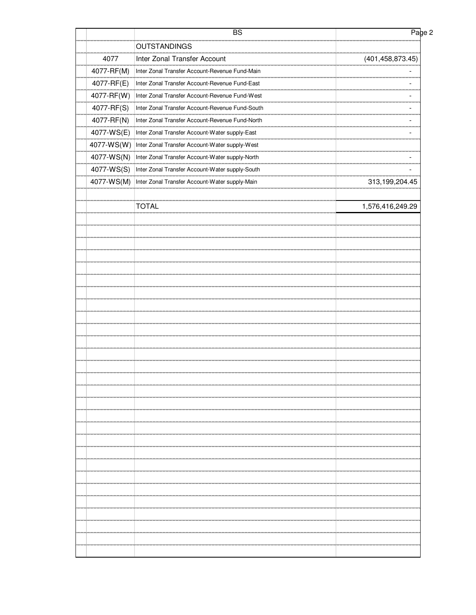|            | <b>BS</b>                                       | Page 2                   |
|------------|-------------------------------------------------|--------------------------|
|            | <b>OUTSTANDINGS</b>                             |                          |
| 4077       | Inter Zonal Transfer Account                    | (401, 458, 873.45)       |
| 4077-RF(M) | Inter Zonal Transfer Account-Revenue Fund-Main  |                          |
| 4077-RF(E) | Inter Zonal Transfer Account-Revenue Fund-East  | $\overline{\phantom{a}}$ |
| 4077-RF(W) | Inter Zonal Transfer Account-Revenue Fund-West  | $\overline{\phantom{a}}$ |
| 4077-RF(S) | Inter Zonal Transfer Account-Revenue Fund-South | $\overline{\phantom{0}}$ |
| 4077-RF(N) | Inter Zonal Transfer Account-Revenue Fund-North |                          |
| 4077-WS(E) | Inter Zonal Transfer Account-Water supply-East  |                          |
| 4077-WS(W) | Inter Zonal Transfer Account-Water supply-West  |                          |
| 4077-WS(N) | Inter Zonal Transfer Account-Water supply-North | $\overline{\phantom{0}}$ |
| 4077-WS(S) | Inter Zonal Transfer Account-Water supply-South | $\overline{\phantom{a}}$ |
| 4077-WS(M) | Inter Zonal Transfer Account-Water supply-Main  | 313,199,204.45           |
|            | <b>TOTAL</b>                                    | 1,576,416,249.29         |
|            |                                                 |                          |
|            |                                                 |                          |
|            |                                                 |                          |
|            |                                                 |                          |
|            |                                                 |                          |
|            |                                                 |                          |
|            |                                                 |                          |
|            |                                                 |                          |
|            |                                                 |                          |
|            |                                                 |                          |
|            |                                                 |                          |
|            |                                                 |                          |
|            |                                                 |                          |
|            |                                                 |                          |
|            |                                                 |                          |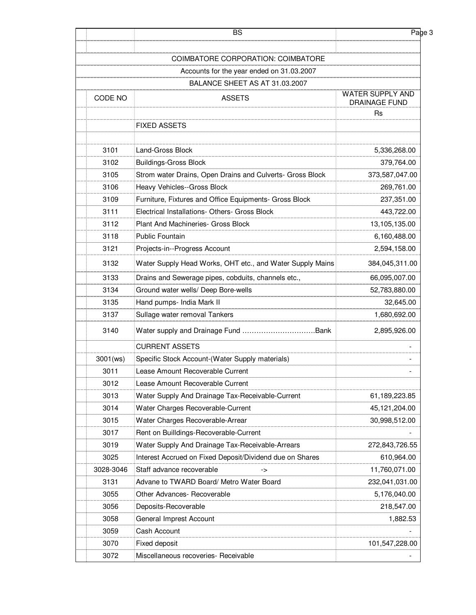|           | <b>BS</b>                                                 | Page 3                   |
|-----------|-----------------------------------------------------------|--------------------------|
|           | COIMBATORE CORPORATION: COIMBATORE                        |                          |
|           | Accounts for the year ended on 31.03.2007                 |                          |
|           | BALANCE SHEET AS AT 31.03.2007                            |                          |
|           |                                                           | WATER SUPPLY AND         |
| CODE NO   | <b>ASSETS</b>                                             | DRAINAGE FUND            |
|           |                                                           | Rs                       |
|           | <b>FIXED ASSETS</b>                                       |                          |
| 3101      | Land-Gross Block                                          | 5,336,268.00             |
| 3102      | <b>Buildings-Gross Block</b>                              | 379,764.00               |
| 3105      | Strom water Drains, Open Drains and Culverts- Gross Block | 373,587,047.00           |
| 3106      | Heavy Vehicles--Gross Block                               | 269,761.00               |
| 3109      | Furniture, Fixtures and Office Equipments- Gross Block    | 237,351.00               |
| 3111      | Electrical Installations- Others- Gross Block             | 443,722.00               |
| 3112      | Plant And Machineries- Gross Block                        | 13,105,135.00            |
| 3118      | <b>Public Fountain</b>                                    | 6,160,488.00             |
| 3121      | Projects-in--Progress Account                             | 2,594,158.00             |
| 3132      | Water Supply Head Works, OHT etc., and Water Supply Mains | 384,045,311.00           |
| 3133      | Drains and Sewerage pipes, cobduits, channels etc.,       | 66,095,007.00            |
| 3134      | Ground water wells/ Deep Bore-wells                       | 52,783,880.00            |
| 3135      | Hand pumps- India Mark II                                 | 32,645.00                |
| 3137      | Sullage water removal Tankers                             | 1,680,692.00             |
| 3140      |                                                           | 2,895,926.00             |
|           | <b>CURRENT ASSETS</b>                                     |                          |
| 3001(ws)  | Specific Stock Account-(Water Supply materials)           | $\overline{\phantom{0}}$ |
| 3011      | Lease Amount Recoverable Current                          |                          |
| 3012      | Lease Amount Recoverable Current                          |                          |
| 3013      | Water Supply And Drainage Tax-Receivable-Current          | 61,189,223.85            |
| 3014      | Water Charges Recoverable-Current                         | 45,121,204.00            |
| 3015      | Water Charges Recoverable-Arrear                          | 30,998,512.00            |
| 3017      | Rent on Builldings-Recoverable-Current                    |                          |
| 3019      | Water Supply And Drainage Tax-Receivable-Arrears          | 272,843,726.55           |
| 3025      | Interest Accrued on Fixed Deposit/Dividend due on Shares  | 610,964.00               |
| 3028-3046 | Staff advance recoverable<br>->                           | 11,760,071.00            |
| 3131      | Advane to TWARD Board/ Metro Water Board                  | 232,041,031.00           |
| 3055      | Other Advances- Recoverable                               | 5,176,040.00             |
| 3056      | Deposits-Recoverable                                      | 218,547.00               |
| 3058      | General Imprest Account                                   | 1,882.53                 |
| 3059      | Cash Account                                              |                          |
| 3070      | Fixed deposit                                             | 101,547,228.00           |
| 3072      | Miscellaneous recoveries- Receivable                      |                          |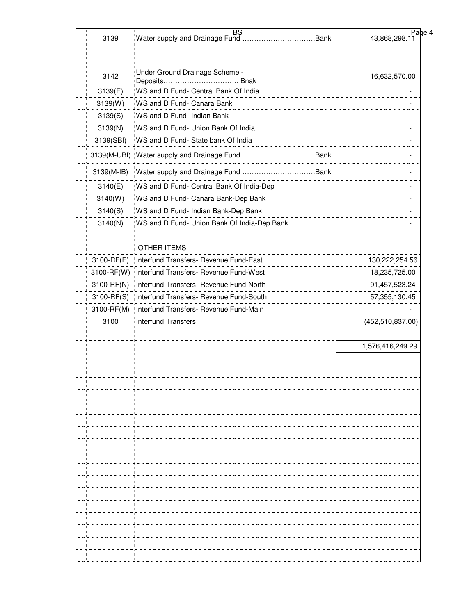| 3139               | <b>BS</b>                                                | Page 4<br>43,868,298.11  |
|--------------------|----------------------------------------------------------|--------------------------|
| 3142               | Under Ground Drainage Scheme -                           | 16,632,570.00            |
|                    | Deposits Bnak<br>WS and D Fund- Central Bank Of India    |                          |
| 3139(E)            |                                                          |                          |
| 3139(W)            | WS and D Fund- Canara Bank<br>WS and D Fund- Indian Bank | $\blacksquare$           |
| 3139(S)<br>3139(N) | WS and D Fund- Union Bank Of India                       | $\overline{\phantom{a}}$ |
| 3139(SBI)          | WS and D Fund- State bank Of India                       | $\overline{\phantom{a}}$ |
|                    |                                                          |                          |
| 3139(M-UBI)        |                                                          |                          |
| 3139(M-IB)         |                                                          |                          |
| 3140(E)            | WS and D Fund- Central Bank Of India-Dep                 | $\overline{\phantom{a}}$ |
| 3140(W)            | WS and D Fund- Canara Bank-Dep Bank                      |                          |
| 3140(S)            | WS and D Fund- Indian Bank-Dep Bank                      | $\overline{\phantom{a}}$ |
| 3140(N)            | WS and D Fund- Union Bank Of India-Dep Bank              |                          |
|                    |                                                          |                          |
|                    | <b>OTHER ITEMS</b>                                       |                          |
| 3100-RF(E)         | Interfund Transfers- Revenue Fund-East                   | 130,222,254.56           |
| 3100-RF(W)         | Interfund Transfers- Revenue Fund-West                   | 18,235,725.00            |
| 3100-RF(N)         | Interfund Transfers- Revenue Fund-North                  | 91,457,523.24            |
| 3100-RF(S)         | Interfund Transfers- Revenue Fund-South                  | 57, 355, 130.45          |
| 3100-RF(M)         | Interfund Transfers- Revenue Fund-Main                   |                          |
| 3100               | <b>Interfund Transfers</b>                               | (452, 510, 837.00)       |
|                    |                                                          |                          |
|                    |                                                          | 1,576,416,249.29         |
|                    |                                                          |                          |
|                    |                                                          |                          |
|                    |                                                          |                          |
|                    |                                                          |                          |
|                    |                                                          |                          |
|                    |                                                          |                          |
|                    |                                                          |                          |
|                    |                                                          |                          |
|                    |                                                          |                          |
|                    |                                                          |                          |
|                    |                                                          |                          |
|                    |                                                          |                          |
|                    |                                                          |                          |
|                    |                                                          |                          |
|                    |                                                          |                          |
|                    |                                                          |                          |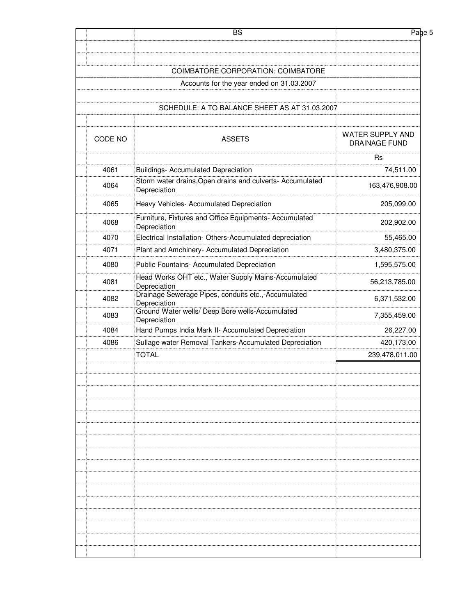|         | <b>BS</b>                                                                 | Page 5                                   |
|---------|---------------------------------------------------------------------------|------------------------------------------|
|         |                                                                           |                                          |
|         | COIMBATORE CORPORATION: COIMBATORE                                        |                                          |
|         | Accounts for the year ended on 31.03.2007                                 |                                          |
|         |                                                                           |                                          |
|         | SCHEDULE: A TO BALANCE SHEET AS AT 31.03.2007                             |                                          |
| CODE NO | <b>ASSETS</b>                                                             | WATER SUPPLY AND<br><b>DRAINAGE FUND</b> |
|         |                                                                           | <b>Rs</b>                                |
| 4061    | <b>Buildings- Accumulated Depreciation</b>                                | 74,511.00                                |
| 4064    | Storm water drains, Open drains and culverts- Accumulated<br>Depreciation | 163,476,908.00                           |
| 4065    | Heavy Vehicles- Accumulated Depreciation                                  | 205,099.00                               |
| 4068    | Furniture, Fixtures and Office Equipments- Accumulated<br>Depreciation    | 202,902.00                               |
| 4070    | Electrical Installation- Others-Accumulated depreciation                  | 55,465.00                                |
| 4071    | Plant and Amchinery- Accumulated Depreciation                             | 3,480,375.00                             |
| 4080    | Public Fountains- Accumulated Depreciation                                | 1,595,575.00                             |
| 4081    | Head Works OHT etc., Water Supply Mains-Accumulated<br>Depreciation       | 56,213,785.00                            |
| 4082    | Drainage Sewerage Pipes, conduits etc.,-Accumulated<br>Depreciation       | 6,371,532.00                             |
| 4083    | Ground Water wells/ Deep Bore wells-Accumulated<br>Depreciation           | 7,355,459.00                             |
| 4084    | Hand Pumps India Mark II- Accumulated Depreciation                        | 26,227.00                                |
| 4086    | Sullage water Removal Tankers-Accumulated Depreciation                    | 420,173.00                               |
|         | <b>TOTAL</b>                                                              | 239,478,011.00                           |
|         |                                                                           |                                          |
|         |                                                                           |                                          |
|         |                                                                           |                                          |
|         |                                                                           |                                          |
|         |                                                                           |                                          |
|         |                                                                           |                                          |
|         |                                                                           |                                          |
|         |                                                                           |                                          |
|         |                                                                           |                                          |
|         |                                                                           |                                          |
|         |                                                                           |                                          |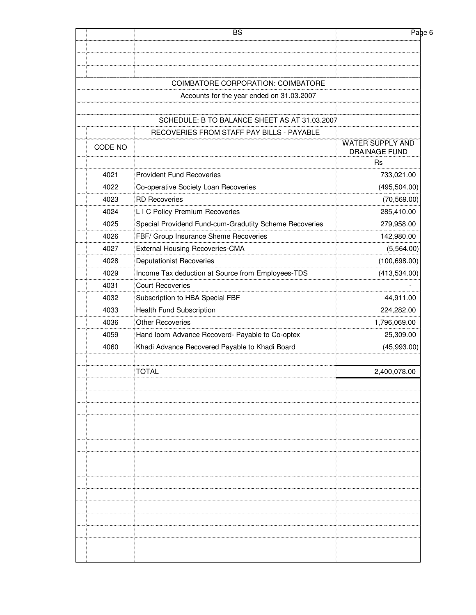| WATER SUPPLY AND<br>DRAINAGE FUND |
|-----------------------------------|
| Rs                                |
| 733,021.00                        |
| (495, 504.00)                     |
| (70, 569.00)                      |
| 285,410.00                        |
| 279,958.00                        |
| 142,980.00                        |
| (5,564.00)                        |
| (100, 698.00)                     |
| (413,534.00)                      |
|                                   |
| 44,911.00                         |
| 224,282.00                        |
| 1,796,069.00                      |
| 25,309.00                         |
| (45,993.00)                       |
| 2,400,078.00                      |
|                                   |
|                                   |
|                                   |
|                                   |
|                                   |
|                                   |
|                                   |
|                                   |
|                                   |
|                                   |
|                                   |
|                                   |
|                                   |
|                                   |
|                                   |